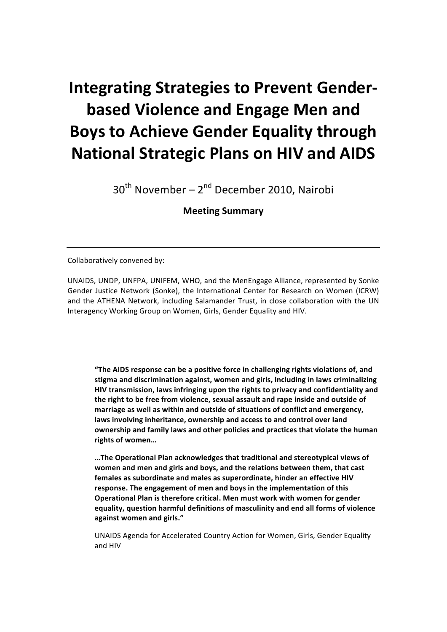# **Integrating Strategies to Prevent Genderbased Violence and Engage Men and Boys to Achieve Gender Equality through National Strategic Plans on HIV and AIDS**

 $30<sup>th</sup>$  November – 2<sup>nd</sup> December 2010, Nairobi

**Meeting!Summary**

Collaboratively convened by:

UNAIDS, UNDP, UNFPA, UNIFEM, WHO, and the MenEngage Alliance, represented by Sonke Gender Justice Network (Sonke), the International Center for Research on Women (ICRW) and the ATHENA Network, including Salamander Trust, in close collaboration with the UN Interagency Working Group on Women, Girls, Gender Equality and HIV.

"The AIDS response can be a positive force in challenging rights violations of, and stigma and discrimination against, women and girls, including in laws criminalizing HIV transmission, laws infringing upon the rights to privacy and confidentiality and the right to be free from violence, sexual assault and rape inside and outside of marriage as well as within and outside of situations of conflict and emergency, laws involving inheritance, ownership and access to and control over land **ownership and family laws and other policies and practices that violate the human rights!of!women…**

... The Operational Plan acknowledges that traditional and stereotypical views of women and men and girls and boys, and the relations between them, that cast females as subordinate and males as superordinate, hinder an effective HIV response. The engagement of men and boys in the implementation of this **Operational Plan is therefore critical. Men must work with women for gender equality, question harmful definitions of masculinity and end all forms of violence** against women and girls."

UNAIDS Agenda for Accelerated Country Action for Women, Girls, Gender Equality and HIV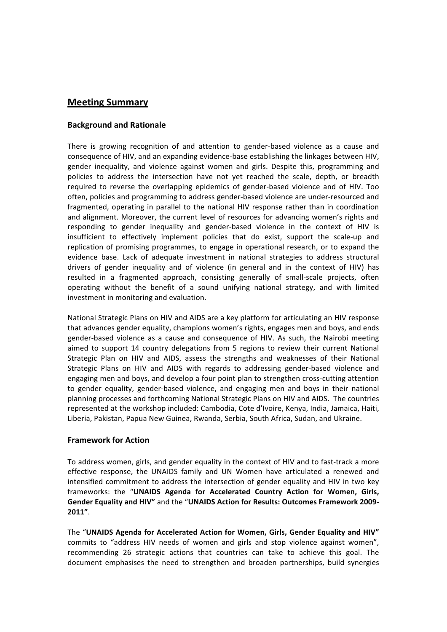# **Meeting Summary**

## **Background!and!Rationale**

There is growing recognition of and attention to gender-based violence as a cause and consequence of HIV, and an expanding evidence-base establishing the linkages between HIV, gender inequality, and violence against women and girls. Despite this, programming and policies to address the intersection have not yet reached the scale, depth, or breadth required to reverse the overlapping epidemics of gender-based violence and of HIV. Too often, policies and programming to address gender-based violence are under-resourced and fragmented, operating in parallel to the national HIV response rather than in coordination and alignment. Moreover, the current level of resources for advancing women's rights and responding to gender inequality and gender-based violence in the context of HIV is insufficient to effectively implement policies that do exist, support the scale-up and replication of promising programmes, to engage in operational research, or to expand the evidence base. Lack of adequate investment in national strategies to address structural drivers of gender inequality and of violence (in general and in the context of HIV) has resulted in a fragmented approach, consisting generally of small-scale projects, often operating without the benefit of a sound unifying national strategy, and with limited investment in monitoring and evaluation.

National Strategic Plans on HIV and AIDS are a key platform for articulating an HIV response that advances gender equality, champions women's rights, engages men and boys, and ends gender-based violence as a cause and consequence of HIV. As such, the Nairobi meeting aimed to support 14 country delegations from 5 regions to review their current National Strategic Plan on HIV and AIDS, assess the strengths and weaknesses of their National Strategic Plans on HIV and AIDS with regards to addressing gender-based violence and engaging men and boys, and develop a four point plan to strengthen cross-cutting attention to gender equality, gender-based violence, and engaging men and boys in their national planning processes and forthcoming National Strategic Plans on HIV and AIDS. The countries represented at the workshop included: Cambodia, Cote d'Ivoire, Kenya, India, Jamaica, Haiti, Liberia, Pakistan, Papua New Guinea, Rwanda, Serbia, South Africa, Sudan, and Ukraine.

#### **Framework for Action**

To address women, girls, and gender equality in the context of HIV and to fast-track a more effective response, the UNAIDS family and UN Women have articulated a renewed and intensified commitment to address the intersection of gender equality and HIV in two key frameworks: the "UNAIDS Agenda for Accelerated Country Action for Women, Girls, **Gender Equality and HIV"** and the "UNAIDS Action for Results: Outcomes Framework 2009-**2011"**.

The "UNAIDS Agenda for Accelerated Action for Women, Girls, Gender Equality and HIV" commits to "address HIV needs of women and girls and stop violence against women", recommending 26 strategic actions that countries can take to achieve this goal. The document emphasises the need to strengthen and broaden partnerships, build synergies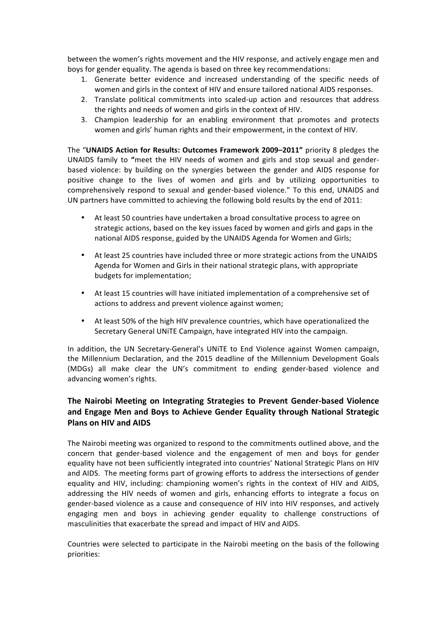between the women's rights movement and the HIV response, and actively engage men and boys for gender equality. The agenda is based on three key recommendations:

- 1. Generate better evidence and increased understanding of the specific needs of women and girls in the context of HIV and ensure tailored national AIDS responses.
- 2. Translate political commitments into scaled-up action and resources that address the rights and needs of women and girls in the context of HIV.
- 3. Champion leadership for an enabling environment that promotes and protects women and girls' human rights and their empowerment, in the context of HIV.

The "UNAIDS Action for Results: Outcomes Framework 2009–2011" priority 8 pledges the UNAIDS family to "meet the HIV needs of women and girls and stop sexual and genderbased violence: by building on the synergies between the gender and AIDS response for positive change to the lives of women and girls and by utilizing opportunities to comprehensively respond to sexual and gender-based violence." To this end, UNAIDS and UN partners have committed to achieving the following bold results by the end of 2011:

- At least 50 countries have undertaken a broad consultative process to agree on strategic actions, based on the key issues faced by women and girls and gaps in the national AIDS response, guided by the UNAIDS Agenda for Women and Girls;
- At least 25 countries have included three or more strategic actions from the UNAIDS Agenda for Women and Girls in their national strategic plans, with appropriate budgets for implementation;
- At least 15 countries will have initiated implementation of a comprehensive set of actions to address and prevent violence against women;
- At least 50% of the high HIV prevalence countries, which have operationalized the Secretary General UNITE Campaign, have integrated HIV into the campaign.

In addition, the UN Secretary-General's UNITE to End Violence against Women campaign, the Millennium Declaration, and the 2015 deadline of the Millennium Development Goals (MDGs) all make clear the UN's commitment to ending gender-based violence and advancing women's rights.

# The Nairobi Meeting on Integrating Strategies to Prevent Gender-based Violence and Engage Men and Boys to Achieve Gender Equality through National Strategic **Plans on HIV and AIDS**

The Nairobi meeting was organized to respond to the commitments outlined above, and the concern that gender-based violence and the engagement of men and boys for gender equality have not been sufficiently integrated into countries' National Strategic Plans on HIV and AIDS. The meeting forms part of growing efforts to address the intersections of gender equality and HIV, including: championing women's rights in the context of HIV and AIDS, addressing the HIV needs of women and girls, enhancing efforts to integrate a focus on gender-based violence as a cause and consequence of HIV into HIV responses, and actively engaging men and boys in achieving gender equality to challenge constructions of masculinities that exacerbate the spread and impact of HIV and AIDS.

Countries were selected to participate in the Nairobi meeting on the basis of the following priorities: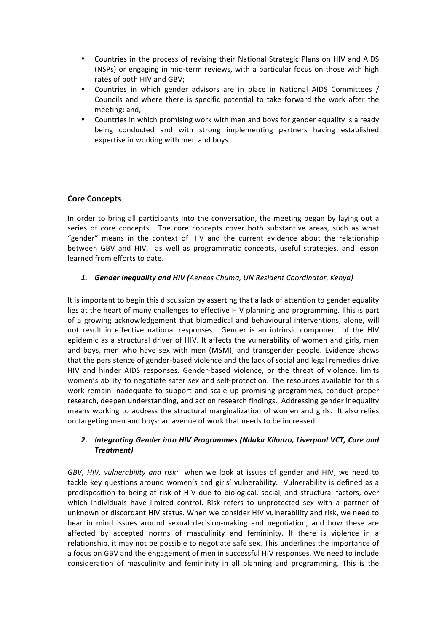- Countries in the process of revising their National Strategic Plans on HIV and AIDS (NSPs) or engaging in mid-term reviews, with a particular focus on those with high rates of both HIV and GBV;
- Countries in which gender advisors are in place in National AIDS Committees / Councils and where there is specific potential to take forward the work after the meeting; and,
- Countries in which promising work with men and boys for gender equality is already being conducted and with strong implementing partners having established expertise in working with men and boys.

# **Core Concepts**

In order to bring all participants into the conversation, the meeting began by laying out a series of core concepts. The core concepts cover both substantive areas, such as what "gender" means in the context of HIV and the current evidence about the relationship between GBV and HIV, as well as programmatic concepts, useful strategies, and lesson learned from efforts to date.

**1. Gender Inequality and HIV (***Aeneas Chuma, UN Resident Coordinator, Kenya*)

It is important to begin this discussion by asserting that a lack of attention to gender equality lies at the heart of many challenges to effective HIV planning and programming. This is part of a growing acknowledgement that biomedical and behavioural interventions, alone, will not result in effective national responses. Gender is an intrinsic component of the HIV epidemic as a structural driver of HIV. It affects the vulnerability of women and girls, men and boys, men who have sex with men (MSM), and transgender people. Evidence shows that the persistence of gender-based violence and the lack of social and legal remedies drive HIV and hinder AIDS responses. Gender-based violence, or the threat of violence, limits women's ability to negotiate safer sex and self-protection. The resources available for this work remain inadequate to support and scale up promising programmes, conduct proper research, deepen understanding, and act on research findings. Addressing gender inequality means working to address the structural marginalization of women and girls. It also relies on targeting men and boys: an avenue of work that needs to be increased.

## 2. Integrating Gender into HIV Programmes (Nduku Kilonzo, Liverpool VCT, Care and *Treatment)*

*GBV, HIV, vulnerability and risk:* when we look at issues of gender and HIV, we need to tackle key questions around women's and girls' vulnerability. Vulnerability is defined as a predisposition to being at risk of HIV due to biological, social, and structural factors, over which individuals have limited control. Risk refers to unprotected sex with a partner of unknown or discordant HIV status. When we consider HIV vulnerability and risk, we need to bear in mind issues around sexual decision-making and negotiation, and how these are affected by accepted norms of masculinity and femininity. If there is violence in a relationship, it may not be possible to negotiate safe sex. This underlines the importance of a focus on GBV and the engagement of men in successful HIV responses. We need to include consideration of masculinity and femininity in all planning and programming. This is the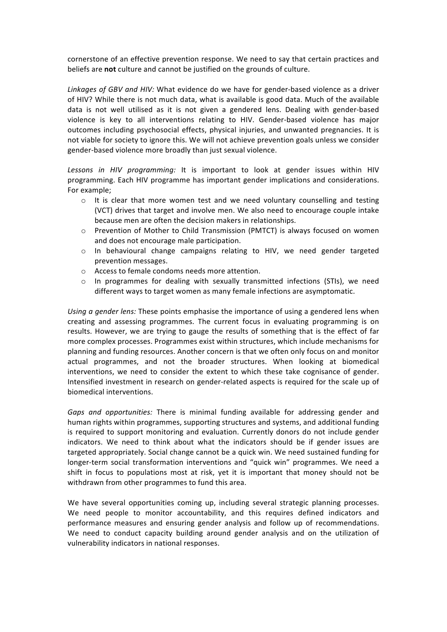cornerstone of an effective prevention response. We need to say that certain practices and beliefs are not culture and cannot be justified on the grounds of culture.

Linkages of GBV and HIV: What evidence do we have for gender-based violence as a driver of HIV? While there is not much data, what is available is good data. Much of the available data is not well utilised as it is not given a gendered lens. Dealing with gender-based violence is key to all interventions relating to HIV. Gender-based violence has major outcomes including psychosocial effects, physical injuries, and unwanted pregnancies. It is not viable for society to ignore this. We will not achieve prevention goals unless we consider gender-based violence more broadly than just sexual violence.

Lessons in HIV programming: It is important to look at gender issues within HIV programming. Each HIV programme has important gender implications and considerations. For example;

- o It is clear that more women test and we need voluntary counselling and testing (VCT) drives that target and involve men. We also need to encourage couple intake because men are often the decision makers in relationships.
- $\circ$  Prevention of Mother to Child Transmission (PMTCT) is always focused on women and does not encourage male participation.
- $\circ$  In behavioural change campaigns relating to HIV, we need gender targeted prevention messages.
- $\circ$  Access to female condoms needs more attention.
- o In programmes for dealing with sexually transmitted infections (STIs), we need different ways to target women as many female infections are asymptomatic.

*Using a gender lens:* These points emphasise the importance of using a gendered lens when creating and assessing programmes. The current focus in evaluating programming is on results. However, we are trying to gauge the results of something that is the effect of far more complex processes. Programmes exist within structures, which include mechanisms for planning and funding resources. Another concern is that we often only focus on and monitor actual programmes, and not the broader structures. When looking at biomedical interventions, we need to consider the extent to which these take cognisance of gender. Intensified investment in research on gender-related aspects is required for the scale up of biomedical interventions.

*Gaps and opportunities:* There is minimal funding available for addressing gender and human rights within programmes, supporting structures and systems, and additional funding is required to support monitoring and evaluation. Currently donors do not include gender indicators. We need to think about what the indicators should be if gender issues are targeted appropriately. Social change cannot be a quick win. We need sustained funding for longer-term social transformation interventions and "quick win" programmes. We need a shift in focus to populations most at risk, yet it is important that money should not be withdrawn from other programmes to fund this area.

We have several opportunities coming up, including several strategic planning processes. We need people to monitor accountability, and this requires defined indicators and performance measures and ensuring gender analysis and follow up of recommendations. We need to conduct capacity building around gender analysis and on the utilization of vulnerability indicators in national responses.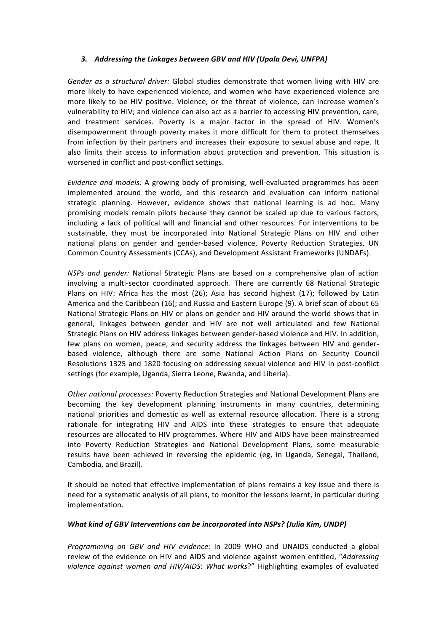### 3. Addressing the Linkages between GBV and HIV (Upala Devi, UNFPA)

*Gender as a structural driver:* Global studies demonstrate that women living with HIV are more likely to have experienced violence, and women who have experienced violence are more likely to be HIV positive. Violence, or the threat of violence, can increase women's vulnerability to HIV; and violence can also act as a barrier to accessing HIV prevention, care, and treatment services. Poverty is a major factor in the spread of HIV. Women's disempowerment through poverty makes it more difficult for them to protect themselves from infection by their partners and increases their exposure to sexual abuse and rape. It also limits their access to information about protection and prevention. This situation is worsened in conflict and post-conflict settings.

*Evidence and models:* A growing body of promising, well-evaluated programmes has been implemented around the world, and this research and evaluation can inform national strategic planning. However, evidence shows that national learning is ad hoc. Many promising models remain pilots because they cannot be scaled up due to various factors, including a lack of political will and financial and other resources. For interventions to be sustainable, they must be incorporated into National Strategic Plans on HIV and other national plans on gender and gender-based violence, Poverty Reduction Strategies, UN Common Country Assessments (CCAs), and Development Assistant Frameworks (UNDAFs).

*NSPs and gender:* National Strategic Plans are based on a comprehensive plan of action involving a multi-sector coordinated approach. There are currently 68 National Strategic Plans on HIV: Africa has the most (26); Asia has second highest (17); followed by Latin America and the Caribbean (16); and Russia and Eastern Europe (9). A brief scan of about 65 National Strategic Plans on HIV or plans on gender and HIV around the world shows that in general, linkages between gender and HIV are not well articulated and few National Strategic Plans on HIV address linkages between gender-based violence and HIV. In addition, few plans on women, peace, and security address the linkages between HIV and genderbased violence, although there are some National Action Plans on Security Council Resolutions 1325 and 1820 focusing on addressing sexual violence and HIV in post-conflict settings (for example, Uganda, Sierra Leone, Rwanda, and Liberia).

Other national processes: Poverty Reduction Strategies and National Development Plans are becoming the key development planning instruments in many countries, determining national priorities and domestic as well as external resource allocation. There is a strong rationale for integrating HIV and AIDS into these strategies to ensure that adequate resources are allocated to HIV programmes. Where HIV and AIDS have been mainstreamed into Poverty Reduction Strategies and National Development Plans, some measurable results have been achieved in reversing the epidemic (eg, in Uganda, Senegal, Thailand, Cambodia, and Brazil).

It should be noted that effective implementation of plans remains a key issue and there is need for a systematic analysis of all plans, to monitor the lessons learnt, in particular during implementation.

#### *What kind of GBV Interventions can be incorporated into NSPs? (Julia Kim, UNDP)*

*Programming on GBV and HIV evidence:* In 2009 WHO and UNAIDS conducted a global review of the evidence on HIV and AIDS and violence against women entitled, "*Addressing* violence against women and HIV/AIDS: What works?" Highlighting examples of evaluated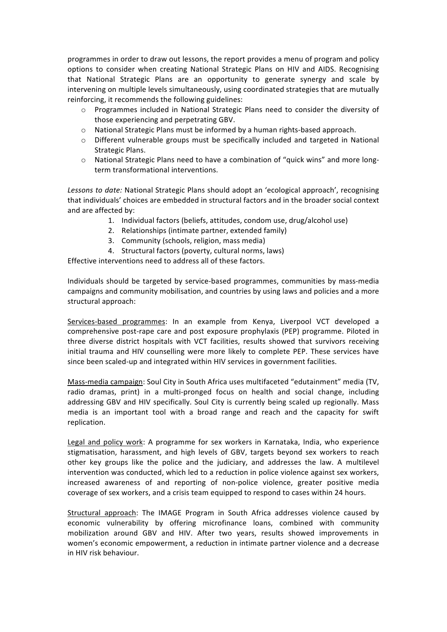programmes in order to draw out lessons, the report provides a menu of program and policy options to consider when creating National Strategic Plans on HIV and AIDS. Recognising that National Strategic Plans are an opportunity to generate synergy and scale by intervening on multiple levels simultaneously, using coordinated strategies that are mutually reinforcing, it recommends the following guidelines:

- $\circ$  Programmes included in National Strategic Plans need to consider the diversity of those experiencing and perpetrating GBV.
- $\circ$  National Strategic Plans must be informed by a human rights-based approach.
- $\circ$  Different vulnerable groups must be specifically included and targeted in National Strategic Plans.
- $\circ$  National Strategic Plans need to have a combination of "quick wins" and more longterm transformational interventions.

Lessons to date: National Strategic Plans should adopt an 'ecological approach', recognising that individuals' choices are embedded in structural factors and in the broader social context and are affected by:

- 1. Individual factors (beliefs, attitudes, condom use, drug/alcohol use)
- 2. Relationships (intimate partner, extended family)
- 3. Community (schools, religion, mass media)
- 4. Structural factors (poverty, cultural norms, laws)

Effective interventions need to address all of these factors.

Individuals should be targeted by service-based programmes, communities by mass-media campaigns and community mobilisation, and countries by using laws and policies and a more structural approach:

Services-based programmes: In an example from Kenya, Liverpool VCT developed a comprehensive post-rape care and post exposure prophylaxis (PEP) programme. Piloted in three diverse district hospitals with VCT facilities, results showed that survivors receiving initial trauma and HIV counselling were more likely to complete PEP. These services have since been scaled-up and integrated within HIV services in government facilities.

Mass-media campaign: Soul City in South Africa uses multifaceted "edutainment" media (TV, radio dramas, print) in a multi-pronged focus on health and social change, including addressing GBV and HIV specifically. Soul City is currently being scaled up regionally. Mass media is an important tool with a broad range and reach and the capacity for swift replication.

Legal and policy work: A programme for sex workers in Karnataka, India, who experience stigmatisation, harassment, and high levels of GBV, targets beyond sex workers to reach other key groups like the police and the judiciary, and addresses the law. A multilevel intervention was conducted, which led to a reduction in police violence against sex workers, increased awareness of and reporting of non-police violence, greater positive media coverage of sex workers, and a crisis team equipped to respond to cases within 24 hours.

Structural approach: The IMAGE Program in South Africa addresses violence caused by economic vulnerability by offering microfinance loans, combined with community mobilization around GBV and HIV. After two years, results showed improvements in women's economic empowerment, a reduction in intimate partner violence and a decrease in HIV risk hehaviour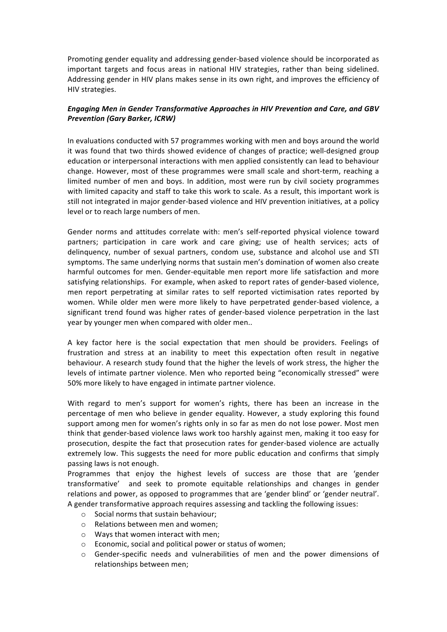Promoting gender equality and addressing gender-based violence should be incorporated as important targets and focus areas in national HIV strategies, rather than being sidelined. Addressing gender in HIV plans makes sense in its own right, and improves the efficiency of HIV strategies.

## *Engaging Men in Gender Transformative Approaches in HIV Prevention and Care, and GBV* **Prevention (Gary Barker, ICRW)**

In evaluations conducted with 57 programmes working with men and boys around the world it was found that two thirds showed evidence of changes of practice; well-designed group education or interpersonal interactions with men applied consistently can lead to behaviour change. However, most of these programmes were small scale and short-term, reaching a limited number of men and boys. In addition, most were run by civil society programmes with limited capacity and staff to take this work to scale. As a result, this important work is still not integrated in major gender-based violence and HIV prevention initiatives, at a policy level or to reach large numbers of men.

Gender norms and attitudes correlate with: men's self-reported physical violence toward partners; participation in care work and care giving; use of health services; acts of delinguency, number of sexual partners, condom use, substance and alcohol use and STI symptoms. The same underlying norms that sustain men's domination of women also create harmful outcomes for men. Gender-equitable men report more life satisfaction and more satisfying relationships. For example, when asked to report rates of gender-based violence, men report perpetrating at similar rates to self reported victimisation rates reported by women. While older men were more likely to have perpetrated gender-based violence, a significant trend found was higher rates of gender-based violence perpetration in the last year by younger men when compared with older men..

A key factor here is the social expectation that men should be providers. Feelings of frustration and stress at an inability to meet this expectation often result in negative behaviour. A research study found that the higher the levels of work stress, the higher the levels of intimate partner violence. Men who reported being "economically stressed" were 50% more likely to have engaged in intimate partner violence.

With regard to men's support for women's rights, there has been an increase in the percentage of men who believe in gender equality. However, a study exploring this found support among men for women's rights only in so far as men do not lose power. Most men think that gender-based violence laws work too harshly against men, making it too easy for prosecution, despite the fact that prosecution rates for gender-based violence are actually extremely low. This suggests the need for more public education and confirms that simply passing laws is not enough.

Programmes that enjoy the highest levels of success are those that are 'gender transformative' and seek to promote equitable relationships and changes in gender relations and power, as opposed to programmes that are 'gender blind' or 'gender neutral'. A gender transformative approach requires assessing and tackling the following issues:

- $\circ$  Social norms that sustain behaviour:
- $\circ$  Relations between men and women;
- $\circ$  Ways that women interact with men;
- $\circ$  Economic, social and political power or status of women;
- $\circ$  Gender-specific needs and vulnerabilities of men and the power dimensions of relationships between men;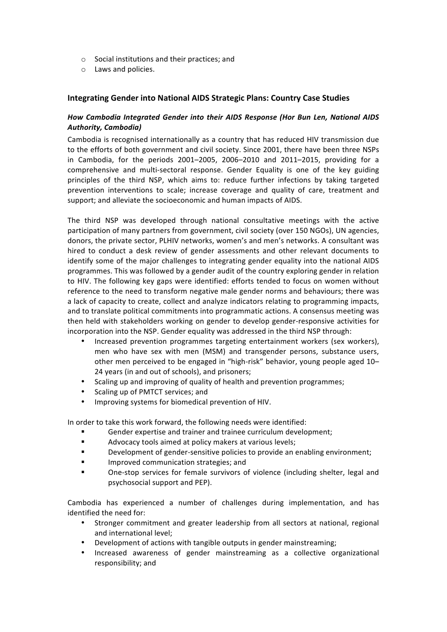- $\circ$  Social institutions and their practices; and
- $\circ$  Laws and policies.

## **Integrating Gender into National AIDS Strategic Plans: Country Case Studies**

## *How Cambodia Integrated Gender into their AIDS Response (Hor Bun Len, National AIDS* **Authority, Cambodia)**

Cambodia is recognised internationally as a country that has reduced HIV transmission due to the efforts of both government and civil society. Since 2001, there have been three NSPs in Cambodia, for the periods  $2001-2005$ ,  $2006-2010$  and  $2011-2015$ , providing for a comprehensive and multi-sectoral response. Gender Equality is one of the key guiding principles of the third NSP, which aims to: reduce further infections by taking targeted prevention interventions to scale; increase coverage and quality of care, treatment and support; and alleviate the socioeconomic and human impacts of AIDS.

The third NSP was developed through national consultative meetings with the active participation of many partners from government, civil society (over 150 NGOs), UN agencies, donors, the private sector, PLHIV networks, women's and men's networks. A consultant was hired to conduct a desk review of gender assessments and other relevant documents to identify some of the major challenges to integrating gender equality into the national AIDS programmes. This was followed by a gender audit of the country exploring gender in relation to HIV. The following key gaps were identified: efforts tended to focus on women without reference to the need to transform negative male gender norms and behaviours; there was a lack of capacity to create, collect and analyze indicators relating to programming impacts, and to translate political commitments into programmatic actions. A consensus meeting was then held with stakeholders working on gender to develop gender-responsive activities for incorporation into the NSP. Gender equality was addressed in the third NSP through:

- Increased prevention programmes targeting entertainment workers (sex workers), men who have sex with men (MSM) and transgender persons, substance users, other men perceived to be engaged in "high-risk" behavior, young people aged 10-24 years (in and out of schools), and prisoners;
- Scaling up and improving of quality of health and prevention programmes;
- Scaling up of PMTCT services; and
- Improving systems for biomedical prevention of HIV.

In order to take this work forward, the following needs were identified:

- Gender expertise and trainer and trainee curriculum development;
- Advocacy tools aimed at policy makers at various levels;
- **Development of gender-sensitive policies to provide an enabling environment;**
- **IMPROVED COMMUNICATION STATEGIES: and**
- One-stop services for female survivors of violence (including shelter, legal and psychosocial support and PEP).

Cambodia has experienced a number of challenges during implementation, and has identified the need for:

- Stronger commitment and greater leadership from all sectors at national, regional and international level;
- Development of actions with tangible outputs in gender mainstreaming;
- Increased awareness of gender mainstreaming as a collective organizational responsibility; and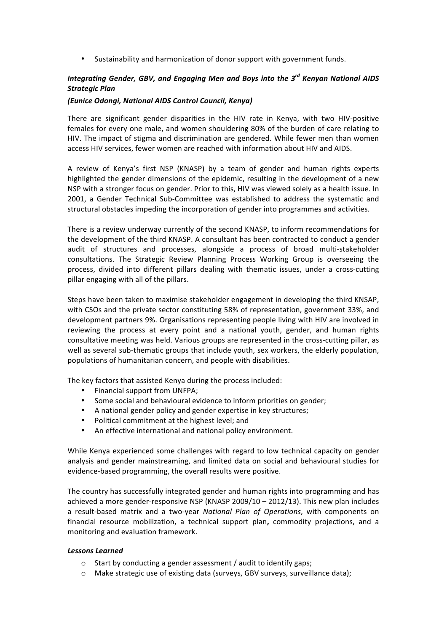• Sustainability and harmonization of donor support with government funds.

# *Integrating Gender, GBV, and Engaging Men and Boys into the 3<sup>rd</sup> Kenyan National AIDS Strategic(Plan*

#### *(Eunice(Odongi,(National(AIDS(Control(Council,(Kenya)*

There are significant gender disparities in the HIV rate in Kenya, with two HIV-positive females for every one male, and women shouldering 80% of the burden of care relating to HIV. The impact of stigma and discrimination are gendered. While fewer men than women access HIV services, fewer women are reached with information about HIV and AIDS.

A review of Kenya's first NSP (KNASP) by a team of gender and human rights experts highlighted the gender dimensions of the epidemic, resulting in the development of a new NSP with a stronger focus on gender. Prior to this, HIV was viewed solely as a health issue. In 2001, a Gender Technical Sub-Committee was established to address the systematic and structural obstacles impeding the incorporation of gender into programmes and activities.

There is a review underway currently of the second KNASP, to inform recommendations for the development of the third KNASP. A consultant has been contracted to conduct a gender audit of structures and processes, alongside a process of broad multi-stakeholder consultations. The Strategic Review Planning Process Working Group is overseeing the process, divided into different pillars dealing with thematic issues, under a cross-cutting pillar engaging with all of the pillars.

Steps have been taken to maximise stakeholder engagement in developing the third KNSAP, with CSOs and the private sector constituting 58% of representation, government 33%, and development partners 9%. Organisations representing people living with HIV are involved in reviewing the process at every point and a national youth, gender, and human rights consultative meeting was held. Various groups are represented in the cross-cutting pillar, as well as several sub-thematic groups that include youth, sex workers, the elderly population, populations of humanitarian concern, and people with disabilities.

The key factors that assisted Kenya during the process included:

- Financial support from UNFPA;
- Some social and behavioural evidence to inform priorities on gender;
- A national gender policy and gender expertise in key structures;
- Political commitment at the highest level; and
- An effective international and national policy environment.

While Kenya experienced some challenges with regard to low technical capacity on gender analysis and gender mainstreaming, and limited data on social and behavioural studies for evidence-based programming, the overall results were positive.

The country has successfully integrated gender and human rights into programming and has achieved a more gender-responsive NSP (KNASP  $2009/10 - 2012/13$ ). This new plan includes a result-based matrix and a two-year *National Plan of Operations*, with components on financial resource mobilization, a technical support plan, commodity projections, and a monitoring and evaluation framework.

#### Lessons Learned

- $\circ$  Start by conducting a gender assessment / audit to identify gaps;
- $\circ$  Make strategic use of existing data (surveys, GBV surveys, surveillance data);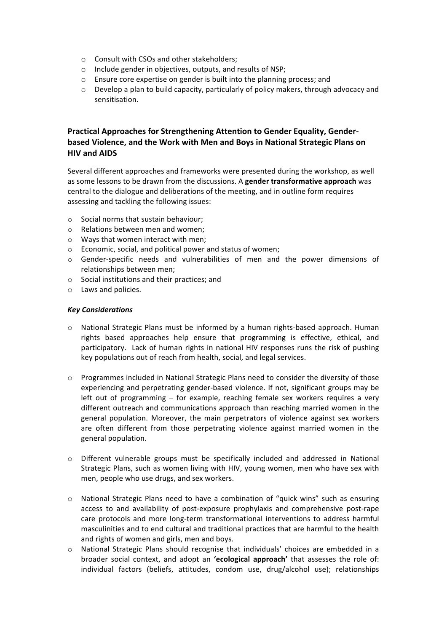- $\circ$  Consult with CSOs and other stakeholders;
- o Include gender in objectives, outputs, and results of NSP;
- $\circ$  Ensure core expertise on gender is built into the planning process; and
- $\circ$  Develop a plan to build capacity, particularly of policy makers, through advocacy and sensitisation.

# **Practical Approaches for Strengthening Attention to Gender Equality, Gender**based Violence, and the Work with Men and Boys in National Strategic Plans on **HIV!and!AIDS**

Several different approaches and frameworks were presented during the workshop, as well as some lessons to be drawn from the discussions. A gender transformative approach was central to the dialogue and deliberations of the meeting, and in outline form requires assessing and tackling the following issues:

- $\circ$  Social norms that sustain behaviour:
- $\circ$  Relations between men and women;
- $\circ$  Ways that women interact with men;
- o Economic, social, and political power and status of women;
- $\circ$  Gender-specific needs and vulnerabilities of men and the power dimensions of relationships between men:
- $\circ$  Social institutions and their practices; and
- o Laws!and!policies.

#### *Key(Considerations(*

- $\circ$  National Strategic Plans must be informed by a human rights-based approach. Human rights based approaches help ensure that programming is effective, ethical, and participatory. Lack of human rights in national HIV responses runs the risk of pushing key populations out of reach from health, social, and legal services.
- $\circ$  Programmes included in National Strategic Plans need to consider the diversity of those experiencing and perpetrating gender-based violence. If not, significant groups may be left out of programming  $-$  for example, reaching female sex workers requires a very different outreach and communications approach than reaching married women in the general population. Moreover, the main perpetrators of violence against sex workers are often different from those perpetrating violence against married women in the general population.
- $\circ$  Different vulnerable groups must be specifically included and addressed in National Strategic Plans, such as women living with HIV, young women, men who have sex with men, people who use drugs, and sex workers.
- $\circ$  National Strategic Plans need to have a combination of "quick wins" such as ensuring access to and availability of post-exposure prophylaxis and comprehensive post-rape care protocols and more long-term transformational interventions to address harmful masculinities and to end cultural and traditional practices that are harmful to the health and rights of women and girls, men and boys.
- o National Strategic Plans should recognise that individuals' choices are embedded in a broader social context, and adopt an 'ecological approach' that assesses the role of: individual factors (beliefs, attitudes, condom use, drug/alcohol use); relationships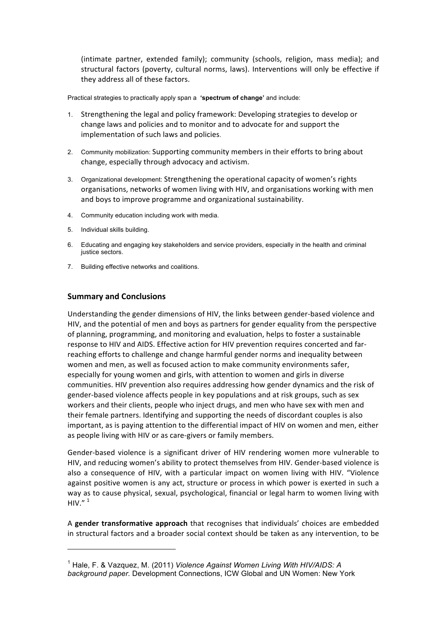(intimate partner, extended family); community (schools, religion, mass media); and structural factors (poverty, cultural norms, laws). Interventions will only be effective if they address all of these factors.

Practical strategies to practically apply span a **'spectrum of change'** and include:

- 1. Strengthening the legal and policy framework: Developing strategies to develop or change laws and policies and to monitor and to advocate for and support the implementation of such laws and policies.
- 2. Community mobilization: Supporting community members in their efforts to bring about change, especially through advocacy and activism.
- 3. Organizational development: Strengthening the operational capacity of women's rights organisations, networks of women living with HIV, and organisations working with men and boys to improve programme and organizational sustainability.
- 4. Community education including work with media.
- 5. Individual skills building.
- 6. Educating and engaging key stakeholders and service providers, especially in the health and criminal justice sectors.
- 7. Building effective networks and coalitions.

## **Summary!and!Conclusions**

!!!!!!!!!!!!!!!!!!!!!!!!!!!!!!!!!!!!!!!!!!!!!!!!!!!!!!!!!!!!

Understanding the gender dimensions of HIV, the links between gender-based violence and HIV, and the potential of men and boys as partners for gender equality from the perspective of planning, programming, and monitoring and evaluation, helps to foster a sustainable response to HIV and AIDS. Effective action for HIV prevention requires concerted and farreaching efforts to challenge and change harmful gender norms and inequality between women and men, as well as focused action to make community environments safer, especially for young women and girls, with attention to women and girls in diverse communities. HIV prevention also requires addressing how gender dynamics and the risk of gender-based violence affects people in key populations and at risk groups, such as sex workers and their clients, people who inject drugs, and men who have sex with men and their female partners. Identifying and supporting the needs of discordant couples is also important, as is paying attention to the differential impact of HIV on women and men, either as people living with HIV or as care-givers or family members.

Gender-based violence is a significant driver of HIV rendering women more vulnerable to HIV, and reducing women's ability to protect themselves from HIV. Gender-based violence is also a consequence of HIV, with a particular impact on women living with HIV. "Violence against positive women is any act, structure or process in which power is exerted in such a way as to cause physical, sexual, psychological, financial or legal harm to women living with HIV." $1$ 

A gender transformative approach that recognises that individuals' choices are embedded in structural factors and a broader social context should be taken as any intervention, to be

<sup>&</sup>lt;sup>1</sup> Hale, F. & Vazquez, M. (2011) *Violence Against Women Living With HIV/AIDS: A background paper.* Development Connections, ICW Global and UN Women: New York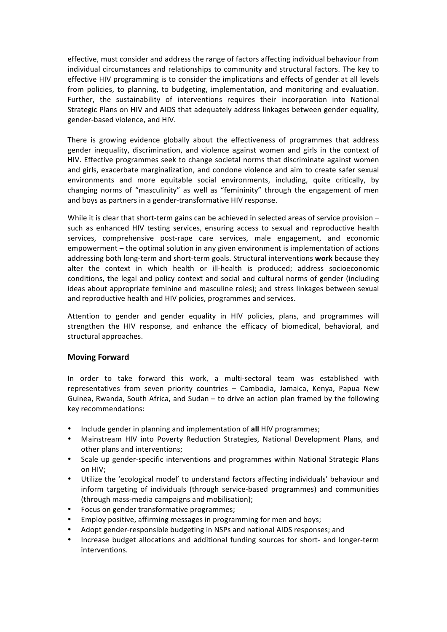effective, must consider and address the range of factors affecting individual behaviour from individual circumstances and relationships to community and structural factors. The key to effective HIV programming is to consider the implications and effects of gender at all levels from policies, to planning, to budgeting, implementation, and monitoring and evaluation. Further, the sustainability of interventions requires their incorporation into National Strategic Plans on HIV and AIDS that adequately address linkages between gender equality, gender-based violence, and HIV.

There is growing evidence globally about the effectiveness of programmes that address gender inequality, discrimination, and violence against women and girls in the context of HIV. Effective programmes seek to change societal norms that discriminate against women and girls, exacerbate marginalization, and condone violence and aim to create safer sexual environments and more equitable social environments, including, quite critically, by changing norms of "masculinity" as well as "femininity" through the engagement of men and boys as partners in a gender-transformative HIV response.

While it is clear that short-term gains can be achieved in selected areas of service provision – such as enhanced HIV testing services, ensuring access to sexual and reproductive health services, comprehensive post-rape care services, male engagement, and economic empowerment – the optimal solution in any given environment is implementation of actions addressing both long-term and short-term goals. Structural interventions work because they alter the context in which health or ill-health is produced; address socioeconomic conditions, the legal and policy context and social and cultural norms of gender (including ideas about appropriate feminine and masculine roles); and stress linkages between sexual and reproductive health and HIV policies, programmes and services.

Attention to gender and gender equality in HIV policies, plans, and programmes will strengthen the HIV response, and enhance the efficacy of biomedical, behavioral, and structural approaches.

#### **Moving!Forward**

In order to take forward this work, a multi-sectoral team was established with representatives from seven priority countries – Cambodia, Jamaica, Kenya, Papua New Guinea, Rwanda, South Africa, and Sudan  $-$  to drive an action plan framed by the following key recommendations:

- Include gender in planning and implementation of all HIV programmes;
- Mainstream HIV into Poverty Reduction Strategies, National Development Plans, and other plans and interventions;
- Scale up gender-specific interventions and programmes within National Strategic Plans on HIV:
- Utilize the 'ecological model' to understand factors affecting individuals' behaviour and inform targeting of individuals (through service-based programmes) and communities (through mass-media campaigns and mobilisation);
- Focus on gender transformative programmes;
- Employ positive, affirming messages in programming for men and boys;
- Adopt gender-responsible budgeting in NSPs and national AIDS responses; and
- Increase budget allocations and additional funding sources for short- and longer-term interventions.